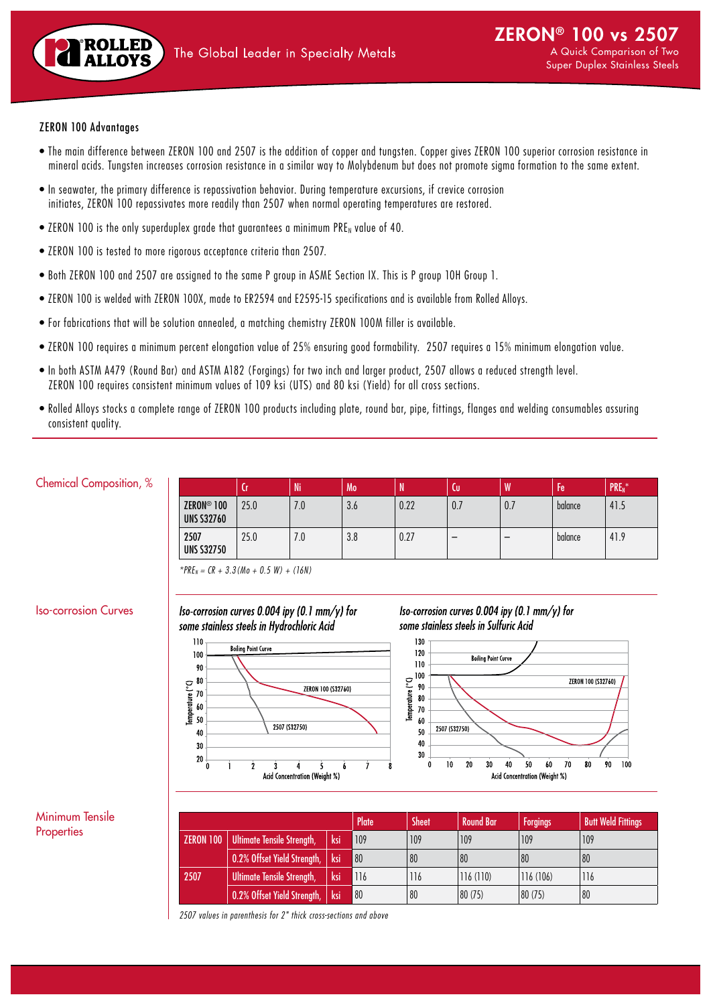

#### ZERON 100 Advantages

- The main difference between ZERON 100 and 2507 is the addition of copper and tungsten. Copper gives ZERON 100 superior corrosion resistance in mineral acids. Tungsten increases corrosion resistance in a similar way to Molybdenum but does not promote sigma formation to the same extent.
- In seawater, the primary difference is repassivation behavior. During temperature excursions, if crevice corrosion initiates, ZERON 100 repassivates more readily than 2507 when normal operating temperatures are restored.
- ZERON 100 is the only superduplex grade that guarantees a minimum PRE<sub>N</sub> value of 40.
- ZERON 100 is tested to more rigorous acceptance criteria than 2507.
- Both ZERON 100 and 2507 are assigned to the same P group in ASME Section IX. This is P group 10H Group 1.
- ZERON 100 is welded with ZERON 100X, made to ER2594 and E2595-15 specifications and is available from Rolled Alloys.
- For fabrications that will be solution annealed, a matching chemistry ZERON 100M filler is available.
- ZERON 100 requires a minimum percent elongation value of 25% ensuring good formability. 2507 requires a 15% minimum elongation value.
- In both ASTM A479 (Round Bar) and ASTM A182 (Forgings) for two inch and larger product, 2507 allows a reduced strength level. ZERON 100 requires consistent minimum values of 109 ksi (UTS) and 80 ksi (Yield) for all cross sections.
- Rolled Alloys stocks a complete range of ZERON 100 products including plate, round bar, pipe, fittings, flanges and welding consumables assuring consistent quality.

#### Chemical Composition, %

|                                             | ΙU   | Ni  | 'Mo | w    | ίU          | W   | -<br>ŀе | PRE <sub>N</sub> |
|---------------------------------------------|------|-----|-----|------|-------------|-----|---------|------------------|
| ZERON <sup>®</sup> 100<br><b>UNS S32760</b> | 25.0 | .U  | 3.6 | 0.22 | $U_{\cdot}$ | 0.7 | balance | 41.5             |
| 2507<br><b>UNS S32750</b>                   | 25.0 | '.U | 3.8 | 0.27 | -           | -   | balance | 41.9             |

*\*PREN = CR + 3.3(Mo + 0.5 W) + (16N)*

## Iso-corrosion Curves

Iso-corrosion curves 0.004 ipy (0.1  $mm/y$ ) for some stainless steels in Hydrochloric Acid



Iso-corrosion curves 0.004 ipy (0.1 mm/y) for some stainless steels in Sulfuric Acid



## Minimum Tensile **Properties**

|                  |                                   |        | Plate | Sheet | <b>Round Bar</b> | <b>Forgings</b> | <b>Butt Weld Fittings</b> |
|------------------|-----------------------------------|--------|-------|-------|------------------|-----------------|---------------------------|
| <b>ZERON 100</b> | <b>Ultimate Tensile Strength,</b> | ksi    | 109   | 109   | 109              | 109             | 109                       |
|                  | 0.2% Offset Yield Strength,       | ksi    | 80    | 80    | 80               | 80              | 80                        |
| 2507             | <b>Ultimate Tensile Strength,</b> | ksi    | 116   | 116   | 116(110)         | 116(106)        | 116                       |
|                  | 0.2% Offset Yield Strength,       | 'l ksi | 80    | 80    | 80 (75)          | 80 (75)         | 80                        |

*2507 values in parenthesis for 2" thick cross-sections and above*